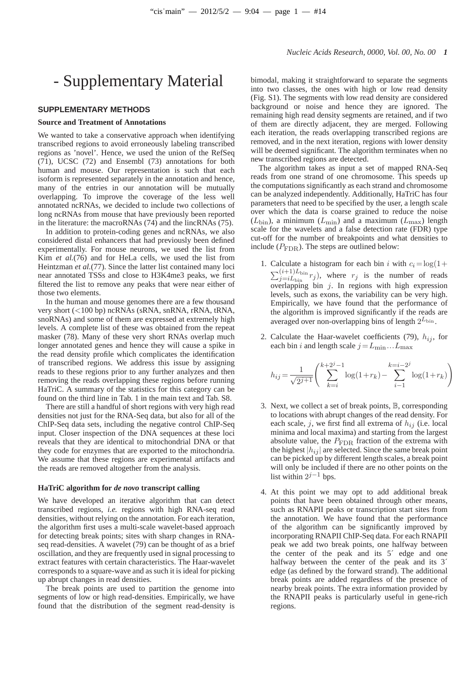# - Supplementary Material

## **SUPPLEMENTARY METHODS**

#### **Source and Treatment of Annotations**

We wanted to take a conservative approach when identifying transcribed regions to avoid erroneously labeling transcribed regions as 'novel'. Hence, we used the union of the RefSeq (71), UCSC (72) and Ensembl (73) annotations for both human and mouse. Our representation is such that each isoform is represented separately in the annotation and hence, many of the entries in our annotation will be mutually overlapping. To improve the coverage of the less well annotated ncRNAs, we decided to include two collections of long ncRNAs from mouse that have previously been reported in the literature: the macroRNAs (74) and the lincRNAs (75).

In addition to protein-coding genes and ncRNAs, we also considered distal enhancers that had previously been defined experimentally. For mouse neurons, we used the list from Kim *et al.*(76) and for HeLa cells, we used the list from Heintzman *et al.*(77). Since the latter list contained many loci near annotated TSSs and close to H3K4me3 peaks, we first filtered the list to remove any peaks that were near either of those two elements.

In the human and mouse genomes there are a few thousand very short (<100 bp) ncRNAs (sRNA, snRNA, rRNA, tRNA, snoRNAs) and some of them are expressed at extremely high levels. A complete list of these was obtained from the repeat masker (78). Many of these very short RNAs overlap much longer annotated genes and hence they will cause a spike in the read density profile which complicates the identification of transcribed regions. We address this issue by assigning reads to these regions prior to any further analyzes and then removing the reads overlapping these regions before running HaTriC. A summary of the statistics for this category can be found on the third line in Tab. 1 in the main text and Tab. S8.

There are still a handful of short regions with very high read densities not just for the RNA-Seq data, but also for all of the ChIP-Seq data sets, including the negative control ChIP-Seq input. Closer inspection of the DNA sequences at these loci reveals that they are identical to mitochondrial DNA or that they code for enzymes that are exported to the mitochondria. We assume that these regions are experimental artifacts and the reads are removed altogether from the analysis.

#### **HaTriC algorithm for** *de novo* **transcript calling**

We have developed an iterative algorithm that can detect transcribed regions, *i.e.* regions with high RNA-seq read densities, without relying on the annotation. For each iteration, the algorithm first uses a multi-scale wavelet-based approach for detecting break points; sites with sharp changes in RNAseq read-densities. A wavelet (79) can be thought of as a brief oscillation, and they are frequently used in signal processing to extract features with certain characteristics. The Haar-wavelet corresponds to a square-wave and as such it is ideal for picking up abrupt changes in read densities.

The break points are used to partition the genome into segments of low or high read-densities. Empirically, we have found that the distribution of the segment read-density is

bimodal, making it straightforward to separate the segments into two classes, the ones with high or low read density (Fig. S1). The segments with low read density are considered background or noise and hence they are ignored. The remaining high read density segments are retained, and if two of them are directly adjacent, they are merged. Following each iteration, the reads overlapping transcribed regions are removed, and in the next iteration, regions with lower density will be deemed significant. The algorithm terminates when no new transcribed regions are detected.

The algorithm takes as input a set of mapped RNA-Seq reads from one strand of one chromosome. This speeds up the computations significantly as each strand and chromosome can be analyzed independently. Additionally, HaTriC has four parameters that need to be specified by the user, a length scale over which the data is coarse grained to reduce the noise  $(L_{\text{bin}})$ , a minimum  $(L_{\text{min}})$  and a maximum  $(L_{\text{max}})$  length scale for the wavelets and a false detection rate (FDR) type cut-off for the number of breakpoints and what densities to include ( $P_{\text{FDR}}$ ). The steps are outlined below:

- 1. Calculate a histogram for each bin i with  $c_i = \log(1 + \frac{1}{2})$  $\sum_{j=i}^{(i+1)L_{\text{bin}}}\n_{j}$ , where  $r_j$  is the number of reads overlapping bin  $j$ . In regions with high expression levels, such as exons, the variability can be very high. Empirically, we have found that the performance of the algorithm is improved significantly if the reads are averaged over non-overlapping bins of length  $2^{L_{\rm bin}}$ .
- 2. Calculate the Haar-wavelet coefficients (79),  $h_{ij}$ , for each bin i and length scale  $j = L_{\text{min}} \dots L_{\text{max}}$

$$
h_{ij}\!=\!\frac{1}{\sqrt{2^{j+1}}}\!\left(\sum_{k=i}^{k+2^j-1}\!\log(1\!+\!r_k)-\sum_{i=1}^{k=i-2^j}\!\log(1\!+\!r_k)\right)
$$

- 3. Next, we collect a set of break points, B, corresponding to locations with abrupt changes of the read density. For each scale, j, we first find all extrema of  $h_{ij}$  (i.e. local minima and local maxima) and starting from the largest absolute value, the  $P_{\text{FDR}}$  fraction of the extrema with the highest  $|h_{ij}|$  are selected. Since the same break point can be picked up by different length scales, a break point will only be included if there are no other points on the list within  $2^{j-1}$  bps.
- 4. At this point we may opt to add additional break points that have been obtained through other means, such as RNAPII peaks or transcription start sites from the annotation. We have found that the performance of the algorithm can be significantly improved by incorporating RNAPII ChIP-Seq data. For each RNAPII peak we add two break points, one halfway between the center of the peak and its 5´ edge and one halfway between the center of the peak and its 3<sup>'</sup> edge (as defined by the forward strand). The additional break points are added regardless of the presence of nearby break points. The extra information provided by the RNAPII peaks is particularly useful in gene-rich regions.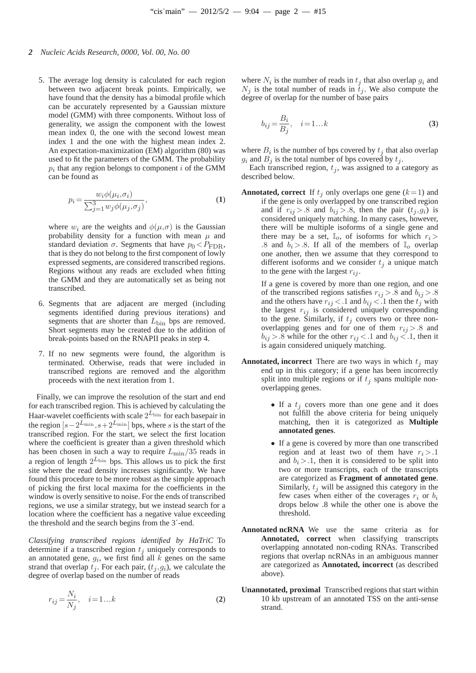5. The average log density is calculated for each region between two adjacent break points. Empirically, we have found that the density has a bimodal profile which can be accurately represented by a Gaussian mixture model (GMM) with three components. Without loss of generality, we assign the component with the lowest mean index 0, the one with the second lowest mean index 1 and the one with the highest mean index 2. An expectation-maximization (EM) algorithm (80) was used to fit the parameters of the GMM. The probability  $p_i$  that any region belongs to component  $i$  of the GMM can be found as

$$
p_i = \frac{w_i \phi(\mu_i, \sigma_i)}{\sum_{j=1}^3 w_j \phi(\mu_j, \sigma_j)},
$$
\n(1)

where  $w_i$  are the weights and  $\phi(\mu, \sigma)$  is the Gaussian probability density for a function with mean  $\mu$  and standard deviation  $\sigma$ . Segments that have  $p_0 < P_{\text{FDR}}$ , that is they do not belong to the first component of lowly expressed segments, are considered transcribed regions. Regions without any reads are excluded when fitting the GMM and they are automatically set as being not transcribed.

- 6. Segments that are adjacent are merged (including segments identified during previous iterations) and segments that are shorter than  $L_{\text{bin}}$  bps are removed. Short segments may be created due to the addition of break-points based on the RNAPII peaks in step 4.
- 7. If no new segments were found, the algorithm is terminated. Otherwise, reads that were included in transcribed regions are removed and the algorithm proceeds with the next iteration from 1.

Finally, we can improve the resolution of the start and end for each transcribed region. This is achieved by calculating the Haar-wavelet coefficients with scale  $2^{L_{\rm bin}}$  for each basepair in the region  $[s-2^{L_{\min}}, s+2^{L_{\min}}]$  bps, where s is the start of the transcribed region. For the start, we select the first location where the coefficient is greater than a given threshold which has been chosen in such a way to require  $L_{\text{min}}/35$  reads in a region of length  $2^{L_{\text{bin}}}$  bps. This allows us to pick the first site where the read density increases significantly. We have found this procedure to be more robust as the simple approach of picking the first local maxima for the coefficients in the window is overly sensitive to noise. For the ends of transcribed regions, we use a similar strategy, but we instead search for a location where the coefficient has a negative value exceeding the threshold and the search begins from the 3´-end.

*Classifying transcribed regions identified by HaTriC* To determine if a transcribed region  $t_i$  uniquely corresponds to an annotated gene,  $g_i$ , we first find all k genes on the same strand that overlap  $t_j$ . For each pair,  $(t_j, g_i)$ , we calculate the degree of overlap based on the number of reads

$$
r_{ij} = \frac{N_i}{N_j}, \quad i = 1...k
$$
 (2)

where  $N_i$  is the number of reads in  $t_j$  that also overlap  $g_i$  and  $N_j$  is the total number of reads in  $t_j$ . We also compute the degree of overlap for the number of base pairs

$$
b_{ij} = \frac{B_i}{B_j}, \quad i = 1...k
$$

where  $B_i$  is the number of bps covered by  $t_j$  that also overlap  $g_i$  and  $B_j$  is the total number of bps covered by  $t_j$ .

Each transcribed region,  $t_j$ , was assigned to a category as described below.

**Annotated, correct** If  $t_i$  only overlaps one gene  $(k=1)$  and if the gene is only overlapped by one transcribed region and if  $r_{ij} > .8$  and  $b_{ij} > .8$ , then the pair  $(t_j, g_i)$  is considered uniquely matching. In many cases, however, there will be multiple isoforms of a single gene and there may be a set,  $\mathbb{I}_o$ , of isoforms for which  $r_i$ .8 and  $b_i > .8$ . If all of the members of  $\mathbb{I}_o$  overlap one another, then we assume that they correspond to different isoforms and we consider  $t_i$  a unique match to the gene with the largest  $r_{ij}$ .

If a gene is covered by more than one region, and one of the transcribed regions satisfies  $r_{ij} > .8$  and  $b_{ij} > .8$ and the others have  $r_{ij} < 1$  and  $b_{ij} < 1$  then the  $t_j$  with the largest  $r_{ij}$  is considered uniquely corresponding to the gene. Similarly, if  $t_j$  covers two or three nonoverlapping genes and for one of them  $r_{ij} > .8$  and  $b_{ij} > .8$  while for the other  $r_{ij} < .1$  and  $b_{ij} < .1$ , then it is again considered uniquely matching.

- **Annotated, incorrect** There are two ways in which  $t_i$  may end up in this category; if a gene has been incorrectly split into multiple regions or if  $t_j$  spans multiple nonoverlapping genes.
	- If a  $t_i$  covers more than one gene and it does not fulfill the above criteria for being uniquely matching, then it is categorized as **Multiple annotated genes**.
	- If a gene is covered by more than one transcribed region and at least two of them have  $r_i > 1$ and  $b_i > 1$ , then it is considered to be split into two or more transcripts, each of the transcripts are categorized as **Fragment of annotated gene**. Similarly,  $t_j$  will be assigned this category in the few cases when either of the coverages  $r_i$  or  $b_i$ drops below .8 while the other one is above the threshold.
- **Annotated ncRNA** We use the same criteria as for **Annotated, correct** when classifying transcripts overlapping annotated non-coding RNAs. Transcribed regions that overlap ncRNAs in an ambiguous manner are categorized as **Annotated, incorrect** (as described above).
- **Unannotated, proximal** Transcribed regions that start within 10 kb upstream of an annotated TSS on the anti-sense strand.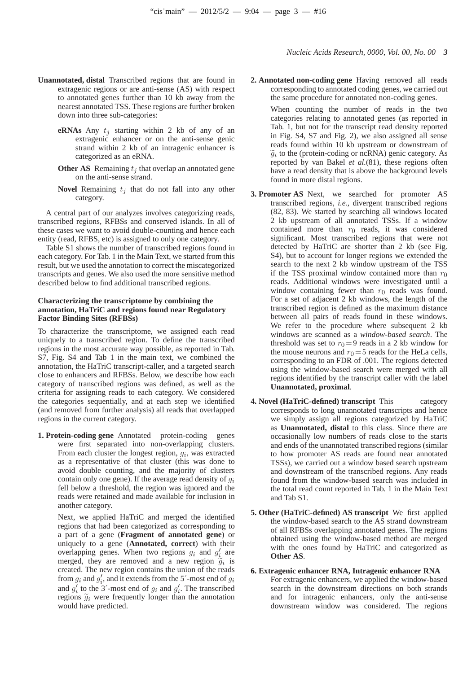- **Unannotated, distal** Transcribed regions that are found in extragenic regions or are anti-sense (AS) with respect to annotated genes further than 10 kb away from the nearest annotated TSS. These regions are further broken down into three sub-categories:
	- **eRNAs** Any  $t_j$  starting within 2 kb of any of an extragenic enhancer or on the anti-sense genic strand within 2 kb of an intragenic enhancer is categorized as an eRNA.
	- **Other AS** Remaining  $t_j$  that overlap an annotated gene on the anti-sense strand.
	- **Novel** Remaining  $t_j$  that do not fall into any other category.

A central part of our analyzes involves categorizing reads, transcribed regions, RFBSs and conserved islands. In all of these cases we want to avoid double-counting and hence each entity (read, RFBS, etc) is assigned to only one category.

Table S1 shows the number of transcribed regions found in each category. For Tab. 1 in the Main Text, we started from this result, but we used the annotation to correct the miscategorized transcripts and genes. We also used the more sensitive method described below to find additional transcribed regions.

## **Characterizing the transcriptome by combining the annotation, HaTriC and regions found near Regulatory Factor Binding Sites (RFBSs)**

To characterize the transcriptome, we assigned each read uniquely to a transcribed region. To define the transcribed regions in the most accurate way possible, as reported in Tab. S7, Fig. S4 and Tab 1 in the main text, we combined the annotation, the HaTriC transcript-caller, and a targeted search close to enhancers and RFBSs. Below, we describe how each category of transcribed regions was defined, as well as the criteria for assigning reads to each category. We considered the categories sequentially, and at each step we identified (and removed from further analysis) all reads that overlapped regions in the current category.

**1. Protein-coding gene** Annotated protein-coding genes were first separated into non-overlapping clusters. From each cluster the longest region,  $g_i$ , was extracted as a representative of that cluster (this was done to avoid double counting, and the majority of clusters contain only one gene). If the average read density of  $q_i$ fell below a threshold, the region was ignored and the reads were retained and made available for inclusion in another category.

Next, we applied HaTriC and merged the identified regions that had been categorized as corresponding to a part of a gene (**Fragment of annotated gene**) or uniquely to a gene (**Annotated, correct**) with their overlapping genes. When two regions  $g_i$  and  $g'_i$  $\int_{i}^{\prime}$  are merged, they are removed and a new region  $\tilde{g}_i$  is<br>created. The new region contains the union of the roads created. The new region contains the union of the reads from  $g_i$  and  $g'_i$  $i'$ , and it extends from the 5´-most end of  $g_i$ and  $g_i^{\prime}$  $g_i'$  to the 3´-most end of  $g_i$  and  $g_i'$  $\int_{i}$ . The transcribed regions  $\tilde{g}_i$  were frequently longer than the annotation would have predicted.

**2. Annotated non-coding gene** Having removed all reads corresponding to annotated coding genes, we carried out the same procedure for annotated non-coding genes.

When counting the number of reads in the two categories relating to annotated genes (as reported in Tab. 1, but not for the transcript read density reported in Fig. S4, S7 and Fig. 2), we also assigned all sense reads found within 10 kb upstream or downstream of  $\widetilde{g}_i$  to the (protein-coding or ncRNA) genic category. As reported by van Bakel *et al.*(81), these regions often have a read density that is above the background levels found in more distal regions.

- **3. Promoter AS** Next, we searched for promoter AS transcribed regions, *i.e.,* divergent transcribed regions (82, 83). We started by searching all windows located 2 kb upstream of all annotated TSSs. If a window contained more than  $r_0$  reads, it was considered significant. Most transcribed regions that were not detected by HaTriC are shorter than 2 kb (see Fig. S4), but to account for longer regions we extended the search to the next 2 kb window upstream of the TSS if the TSS proximal window contained more than  $r_0$ reads. Additional windows were investigated until a window containing fewer than  $r_0$  reads was found. For a set of adjacent 2 kb windows, the length of the transcribed region is defined as the maximum distance between all pairs of reads found in these windows. We refer to the procedure where subsequent 2 kb windows are scanned as a *window-based search*. The threshold was set to  $r_0 = 9$  reads in a 2 kb window for the mouse neurons and  $r_0 = 5$  reads for the HeLa cells, corresponding to an FDR of .001. The regions detected using the window-based search were merged with all regions identified by the transcript caller with the label **Unannotated, proximal**.
- **4. Novel (HaTriC-defined) transcript** This category corresponds to long unannotated transcripts and hence we simply assign all regions categorized by HaTriC as **Unannotated, distal** to this class. Since there are occasionally low numbers of reads close to the starts and ends of the unannotated transcribed regions (similar to how promoter AS reads are found near annotated TSSs), we carried out a window based search upstream and downstream of the transcribed regions. Any reads found from the window-based search was included in the total read count reported in Tab. 1 in the Main Text and Tab S1.
- **5. Other (HaTriC-defined) AS transcript** We first applied the window-based search to the AS strand downstream of all RFBSs overlapping annotated genes. The regions obtained using the window-based method are merged with the ones found by HaTriC and categorized as **Other AS**.
- **6. Extragenic enhancer RNA, Intragenic enhancer RNA** For extragenic enhancers, we applied the window-based search in the downstream directions on both strands and for intragenic enhancers, only the anti-sense downstream window was considered. The regions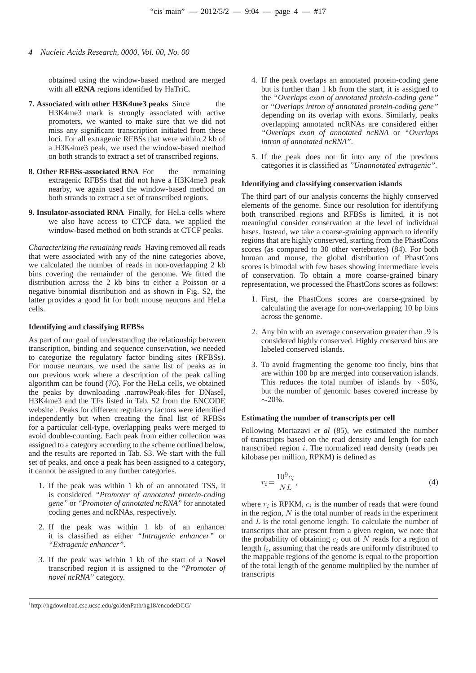obtained using the window-based method are merged with all **eRNA** regions identified by HaTriC.

- **7. Associated with other H3K4me3 peaks** Since the H3K4me3 mark is strongly associated with active promoters, we wanted to make sure that we did not miss any significant transcription initiated from these loci. For all extragenic RFBSs that were within 2 kb of a H3K4me3 peak, we used the window-based method on both strands to extract a set of transcribed regions.
- **8. Other RFBSs-associated RNA** For the remaining extragenic RFBSs that did not have a H3K4me3 peak nearby, we again used the window-based method on both strands to extract a set of transcribed regions.
- **9. Insulator-associated RNA** Finally, for HeLa cells where we also have access to CTCF data, we applied the window-based method on both strands at CTCF peaks.

*Characterizing the remaining reads* Having removed all reads that were associated with any of the nine categories above, we calculated the number of reads in non-overlapping 2 kb bins covering the remainder of the genome. We fitted the distribution across the 2 kb bins to either a Poisson or a negative binomial distribution and as shown in Fig. S2, the latter provides a good fit for both mouse neurons and HeLa cells.

#### **Identifying and classifying RFBSs**

As part of our goal of understanding the relationship between transcription, binding and sequence conservation, we needed to categorize the regulatory factor binding sites (RFBSs). For mouse neurons, we used the same list of peaks as in our previous work where a description of the peak calling algorithm can be found (76). For the HeLa cells, we obtained the peaks by downloading .narrowPeak-files for DNaseI, H3K4me3 and the TFs listed in Tab. S2 from the ENCODE website<sup>1</sup>. Peaks for different regulatory factors were identified independently but when creating the final list of RFBSs for a particular cell-type, overlapping peaks were merged to avoid double-counting. Each peak from either collection was assigned to a category according to the scheme outlined below, and the results are reported in Tab. S3. We start with the full set of peaks, and once a peak has been assigned to a category, it cannot be assigned to any further categories.

- 1. If the peak was within 1 kb of an annotated TSS, it is considered *"Promoter of annotated protein-coding gene"* or *"Promoter of annotated ncRNA"* for annotated coding genes and ncRNAs, respectively.
- 2. If the peak was within 1 kb of an enhancer it is classified as either *"Intragenic enhancer"* or *"Extragenic enhancer"*.
- 3. If the peak was within 1 kb of the start of a **Novel** transcribed region it is assigned to the *"Promoter of novel ncRNA"* category.
- 4. If the peak overlaps an annotated protein-coding gene but is further than 1 kb from the start, it is assigned to the *"Overlaps exon of annotated protein-coding gene"* or *"Overlaps intron of annotated protein-coding gene"* depending on its overlap with exons. Similarly, peaks overlapping annotated ncRNAs are considered either *"Overlaps exon of annotated ncRNA* or *"Overlaps intron of annotated ncRNA"*.
- 5. If the peak does not fit into any of the previous categories it is classified as *"Unannotated extragenic"*.

#### **Identifying and classifying conservation islands**

The third part of our analysis concerns the highly conserved elements of the genome. Since our resolution for identifying both transcribed regions and RFBSs is limited, it is not meaningful consider conservation at the level of individual bases. Instead, we take a coarse-graining approach to identify regions that are highly conserved, starting from the PhastCons scores (as compared to 30 other vertebrates) (84). For both human and mouse, the global distribution of PhastCons scores is bimodal with few bases showing intermediate levels of conservation. To obtain a more coarse-grained binary representation, we processed the PhastCons scores as follows:

- 1. First, the PhastCons scores are coarse-grained by calculating the average for non-overlapping 10 bp bins across the genome.
- 2. Any bin with an average conservation greater than .9 is considered highly conserved. Highly conserved bins are labeled conserved islands.
- 3. To avoid fragmenting the genome too finely, bins that are within 100 bp are merged into conservation islands. This reduces the total number of islands by  $~\sim 50\%$ , but the number of genomic bases covered increase by  $~10\%$ .

## **Estimating the number of transcripts per cell**

Following Mortazavi *et al* (85), we estimated the number of transcripts based on the read density and length for each transcribed region i. The normalized read density (reads per kilobase per million, RPKM) is defined as

$$
r_i = \frac{10^9 c_i}{NL},\tag{4}
$$

where  $r_i$  is RPKM,  $c_i$  is the number of reads that were found in the region,  $N$  is the total number of reads in the experiment and  $L$  is the total genome length. To calculate the number of transcripts that are present from a given region, we note that the probability of obtaining  $c_i$  out of N reads for a region of length  $l_i$ , assuming that the reads are uniformly distributed to the mappable regions of the genome is equal to the proportion of the total length of the genome multiplied by the number of transcripts

<sup>1</sup>http://hgdownload.cse.ucsc.edu/goldenPath/hg18/encodeDCC/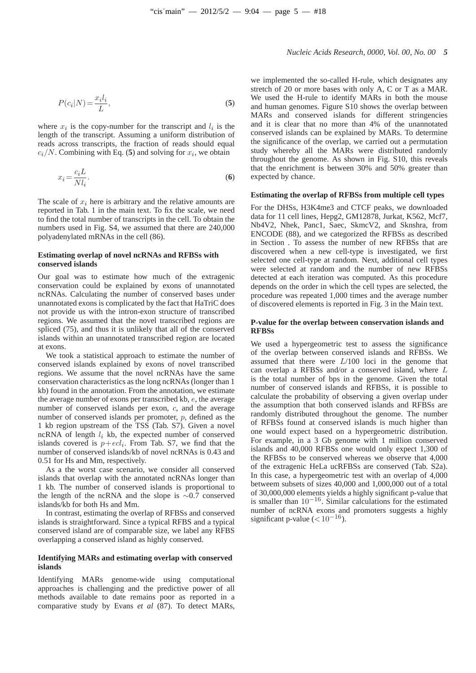$$
P(c_i|N) = \frac{x_i l_i}{L},\tag{5}
$$

where  $x_i$  is the copy-number for the transcript and  $l_i$  is the length of the transcript. Assuming a uniform distribution of reads across transcripts, the fraction of reads should equal  $c_i/N$ . Combining with Eq. (5) and solving for  $x_i$ , we obtain

$$
x_i = \frac{c_i L}{N l_i}.\tag{6}
$$

The scale of  $x_i$  here is arbitrary and the relative amounts are reported in Tab. 1 in the main text. To fix the scale, we need to find the total number of transcripts in the cell. To obtain the numbers used in Fig. S4, we assumed that there are 240,000 polyadenylated mRNAs in the cell (86).

#### **Estimating overlap of novel ncRNAs and RFBSs with conserved islands**

Our goal was to estimate how much of the extragenic conservation could be explained by exons of unannotated ncRNAs. Calculating the number of conserved bases under unannotated exons is complicated by the fact that HaTriC does not provide us with the intron-exon structure of transcribed regions. We assumed that the novel transcribed regions are spliced (75), and thus it is unlikely that all of the conserved islands within an unannotated transcribed region are located at exons.

We took a statistical approach to estimate the number of conserved islands explained by exons of novel transcribed regions. We assume that the novel ncRNAs have the same conservation characteristics as the long ncRNAs (longer than 1 kb) found in the annotation. From the annotation, we estimate the average number of exons per transcribed kb, e, the average number of conserved islands per exon, c, and the average number of conserved islands per promoter, p, defined as the 1 kb region upstream of the TSS (Tab. S7). Given a novel ncRNA of length  $l_i$  kb, the expected number of conserved islands covered is  $p + ecl_i$ . From Tab. S7, we find that the number of conserved islands/kb of novel ncRNAs is 0.43 and 0.51 for Hs and Mm, respectively.

As a the worst case scenario, we consider all conserved islands that overlap with the annotated ncRNAs longer than 1 kb. The number of conserved islands is proportional to the length of the ncRNA and the slope is ∼0.7 conserved islands/kb for both Hs and Mm.

In contrast, estimating the overlap of RFBSs and conserved islands is straightforward. Since a typical RFBS and a typical conserved island are of comparable size, we label any RFBS overlapping a conserved island as highly conserved.

## **Identifying MARs and estimating overlap with conserved islands**

Identifying MARs genome-wide using computational approaches is challenging and the predictive power of all methods available to date remains poor as reported in a comparative study by Evans *et al* (87). To detect MARs,

we implemented the so-called H-rule, which designates any stretch of 20 or more bases with only A, C or T as a MAR. We used the H-rule to identify MARs in both the mouse and human genomes. Figure S10 shows the overlap between MARs and conserved islands for different stringencies and it is clear that no more than 4% of the unannotated conserved islands can be explained by MARs. To determine the significance of the overlap, we carried out a permutation study whereby all the MARs were distributed randomly throughout the genome. As shown in Fig. S10, this reveals that the enrichment is between 30% and 50% greater than expected by chance.

#### **Estimating the overlap of RFBSs from multiple cell types**

For the DHSs, H3K4me3 and CTCF peaks, we downloaded data for 11 cell lines, Hepg2, GM12878, Jurkat, K562, Mcf7, Nb4V2, Nhek, Panc1, Saec, SkmcV2, and Sknshra, from ENCODE (88), and we categorized the RFBSs as described in Section . To assess the number of new RFBSs that are discovered when a new cell-type is investigated, we first selected one cell-type at random. Next, additional cell types were selected at random and the number of new RFBSs detected at each iteration was computed. As this procedure depends on the order in which the cell types are selected, the procedure was repeated 1,000 times and the average number of discovered elements is reported in Fig. 3 in the Main text.

#### **P-value for the overlap between conservation islands and RFBSs**

We used a hypergeometric test to assess the significance of the overlap between conserved islands and RFBSs. We assumed that there were L/100 loci in the genome that can overlap a RFBSs and/or a conserved island, where L is the total number of bps in the genome. Given the total number of conserved islands and RFBSs, it is possible to calculate the probability of observing a given overlap under the assumption that both conserved islands and RFBSs are randomly distributed throughout the genome. The number of RFBSs found at conserved islands is much higher than one would expect based on a hypergeometric distribution. For example, in a 3 Gb genome with 1 million conserved islands and 40,000 RFBSs one would only expect 1,300 of the RFBSs to be conserved whereas we observe that 4,000 of the extragenic HeLa ucRFBSs are conserved (Tab. S2a). In this case, a hypergeometric test with an overlap of 4,000 betweem subsets of sizes 40,000 and 1,000,000 out of a total of 30,000,000 elements yields a highly significant p-value that is smaller than  $10^{-16}$ . Similar calculations for the estimated number of ncRNA exons and promoters suggests a highly significant p-value  $(<10^{-16})$ .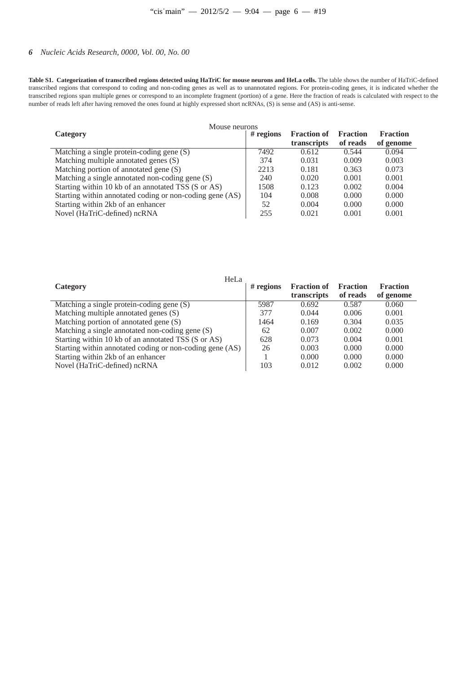**Table S1. Categorization of transcribed regions detected using HaTriC for mouse neurons and HeLa cells.** The table shows the number of HaTriC-defined transcribed regions that correspond to coding and non-coding genes as well as to unannotated regions. For protein-coding genes, it is indicated whether the transcribed regions span multiple genes or correspond to an incomplete fragment (portion) of a gene. Here the fraction of reads is calculated with respect to the number of reads left after having removed the ones found at highly expressed short ncRNAs, (S) is sense and (AS) is anti-sense.

| Mouse neurons                                            |             |                    |                 |                 |  |
|----------------------------------------------------------|-------------|--------------------|-----------------|-----------------|--|
| Category                                                 | $#$ regions | <b>Fraction of</b> | <b>Fraction</b> | <b>Fraction</b> |  |
|                                                          |             | transcripts        | of reads        | of genome       |  |
| Matching a single protein-coding gene (S)                | 7492        | 0.612              | 0.544           | 0.094           |  |
| Matching multiple annotated genes (S)                    | 374         | 0.031              | 0.009           | 0.003           |  |
| Matching portion of annotated gene (S)                   | 2213        | 0.181              | 0.363           | 0.073           |  |
| Matching a single annotated non-coding gene (S)          | 240         | 0.020              | 0.001           | 0.001           |  |
| Starting within 10 kb of an annotated TSS (S or AS)      | 1508        | 0.123              | 0.002           | 0.004           |  |
| Starting within annotated coding or non-coding gene (AS) | 104         | 0.008              | 0.000           | 0.000           |  |
| Starting within 2kb of an enhancer                       | 52          | 0.004              | 0.000           | 0.000           |  |
| Novel (HaTriC-defined) ncRNA                             | 255         | 0.021              | 0.001           | 0.001           |  |

| HeLa                                                     |             |                    |                 |                 |
|----------------------------------------------------------|-------------|--------------------|-----------------|-----------------|
| Category                                                 | $#$ regions | <b>Fraction of</b> | <b>Fraction</b> | <b>Fraction</b> |
|                                                          |             | transcripts        | of reads        | of genome       |
| Matching a single protein-coding gene (S)                | 5987        | 0.692              | 0.587           | 0.060           |
| Matching multiple annotated genes (S)                    | 377         | 0.044              | 0.006           | 0.001           |
| Matching portion of annotated gene (S)                   | 1464        | 0.169              | 0.304           | 0.035           |
| Matching a single annotated non-coding gene (S)          | 62          | 0.007              | 0.002           | 0.000           |
| Starting within 10 kb of an annotated TSS (S or AS)      | 628         | 0.073              | 0.004           | 0.001           |
| Starting within annotated coding or non-coding gene (AS) | 26          | 0.003              | 0.000           | 0.000           |
| Starting within 2kb of an enhancer                       |             | 0.000              | 0.000           | 0.000           |
| Novel (HaTriC-defined) ncRNA                             | 103         | 0.012              | 0.002           | 0.000           |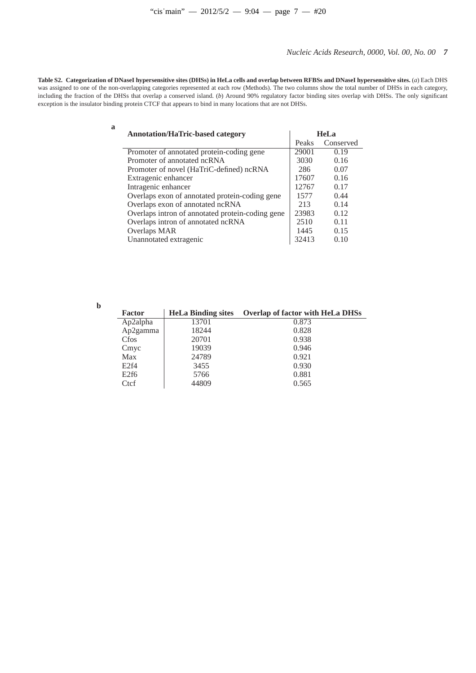**Table S2. Categorization of DNaseI hypersensitive sites (DHSs) in HeLa cells and overlap between RFBSs and DNaseI hypersensitive sites.** (*a*) Each DHS was assigned to one of the non-overlapping categories represented at each row (Methods). The two columns show the total number of DHSs in each category, including the fraction of the DHSs that overlap a conserved island. (*b*) Around 90% regulatory factor binding sites overlap with DHSs. The only significant exception is the insulator binding protein CTCF that appears to bind in many locations that are not DHSs.

| ٦   |  |
|-----|--|
| - - |  |

| <b>Annotation/HaTric-based category</b>          | HeLa  |           |
|--------------------------------------------------|-------|-----------|
|                                                  | Peaks | Conserved |
| Promoter of annotated protein-coding gene        | 29001 | 0.19      |
| Promoter of annotated ncRNA                      | 3030  | 0.16      |
| Promoter of novel (HaTriC-defined) ncRNA         | 286   | 0.07      |
| Extragenic enhancer                              | 17607 | 0.16      |
| Intragenic enhancer                              | 12767 | 0.17      |
| Overlaps exon of annotated protein-coding gene   | 1577  | 0.44      |
| Overlaps exon of annotated ncRNA                 | 213   | 0.14      |
| Overlaps intron of annotated protein-coding gene | 23983 | 0.12      |
| Overlaps intron of annotated ncRNA               | 2510  | 0.11      |
| Overlaps MAR                                     | 1445  | 0.15      |
| Unannotated extragenic                           | 32413 | 0.10      |

**b**

| <b>Factor</b>    | <b>HeLa Binding sites</b> | <b>Overlap of factor with HeLa DHSs</b> |
|------------------|---------------------------|-----------------------------------------|
| Ap2alpha         | 13701                     | 0.873                                   |
| Ap2gamma         | 18244                     | 0.828                                   |
| Cfos             | 20701                     | 0.938                                   |
| Cmyc             | 19039                     | 0.946                                   |
| Max              | 24789                     | 0.921                                   |
| E2f4             | 3455                      | 0.930                                   |
| E <sub>2f6</sub> | 5766                      | 0.881                                   |
| Ctcf             | 44809                     | 0.565                                   |
|                  |                           |                                         |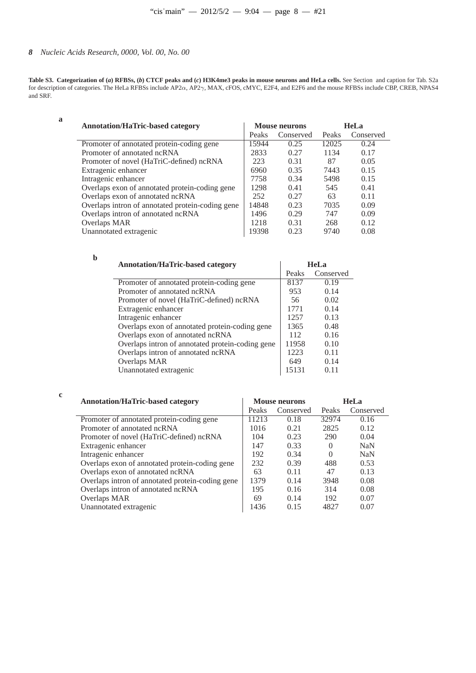**a**

**Table S3. Categorization of (***a***) RFBSs, (***b***) CTCF peaks and (***c***) H3K4me3 peaks in mouse neurons and HeLa cells.** See Section and caption for Tab. S2a for description of categories. The HeLa RFBSs include AP2α, AP2γ, MAX, cFOS, cMYC, E2F4, and E2F6 and the mouse RFBSs include CBP, CREB, NPAS4 and SRF.

| <b>Annotation/HaTric-based category</b>          | <b>Mouse neurons</b> |           | <b>HeLa</b> |           |
|--------------------------------------------------|----------------------|-----------|-------------|-----------|
|                                                  | Peaks                | Conserved | Peaks       | Conserved |
| Promoter of annotated protein-coding gene        | 15944                | 0.25      | 12025       | 0.24      |
| Promoter of annotated ncRNA                      | 2833                 | 0.27      | 1134        | 0.17      |
| Promoter of novel (HaTriC-defined) ncRNA         | 223                  | 0.31      | 87          | 0.05      |
| Extragenic enhancer                              | 6960                 | 0.35      | 7443        | 0.15      |
| Intragenic enhancer                              | 7758                 | 0.34      | 5498        | 0.15      |
| Overlaps exon of annotated protein-coding gene   | 1298                 | 0.41      | 545         | 0.41      |
| Overlaps exon of annotated ncRNA                 | 252                  | 0.27      | 63          | 0.11      |
| Overlaps intron of annotated protein-coding gene | 14848                | 0.23      | 7035        | 0.09      |
| Overlaps intron of annotated ncRNA               | 1496                 | 0.29      | 747         | 0.09      |
| Overlaps MAR                                     | 1218                 | 0.31      | 268         | 0.12      |
| Unannotated extragenic                           | 19398                | 0.23      | 9740        | 0.08      |

| <b>Annotation/HaTric-based category</b>          |       | <b>HeLa</b> |
|--------------------------------------------------|-------|-------------|
|                                                  | Peaks | Conserved   |
| Promoter of annotated protein-coding gene        | 8137  | 0.19        |
| Promoter of annotated ncRNA                      | 953   | 0.14        |
| Promoter of novel (HaTriC-defined) ncRNA         | 56    | 0.02        |
| Extragenic enhancer                              | 1771  | 0.14        |
| Intragenic enhancer                              | 12.57 | 0.13        |
| Overlaps exon of annotated protein-coding gene   | 1365  | 0.48        |
| Overlaps exon of annotated ncRNA                 | 112   | 0.16        |
| Overlaps intron of annotated protein-coding gene | 11958 | 0.10        |
| Overlaps intron of annotated ncRNA               | 1223  | 0.11        |
| Overlaps MAR                                     | 649   | 0.14        |
| Unannotated extragenic                           | 15131 |             |

| c |                                                  |       |                      |                  |             |  |
|---|--------------------------------------------------|-------|----------------------|------------------|-------------|--|
|   | <b>Annotation/HaTric-based category</b>          |       | <b>Mouse neurons</b> |                  | <b>HeLa</b> |  |
|   |                                                  | Peaks | Conserved            | Peaks            | Conserved   |  |
|   | Promoter of annotated protein-coding gene        | 11213 | 0.18                 | 32974            | 0.16        |  |
|   | Promoter of annotated ncRNA                      | 1016  | 0.21                 | 2825             | 0.12        |  |
|   | Promoter of novel (HaTriC-defined) ncRNA         | 104   | 0.23                 | 290              | 0.04        |  |
|   | Extragenic enhancer                              | 147   | 0.33                 | $\left( \right)$ | <b>NaN</b>  |  |
|   | Intragenic enhancer                              | 192   | 0.34                 |                  | <b>NaN</b>  |  |
|   | Overlaps exon of annotated protein-coding gene   | 232   | 0.39                 | 488              | 0.53        |  |
|   | Overlaps exon of annotated ncRNA                 | 63    | 0.11                 | 47               | 0.13        |  |
|   | Overlaps intron of annotated protein-coding gene | 1379  | 0.14                 | 3948             | 0.08        |  |
|   | Overlaps intron of annotated ncRNA               | 195   | 0.16                 | 314              | 0.08        |  |
|   | Overlaps MAR                                     | 69    | 0.14                 | 192              | 0.07        |  |
|   | Unannotated extragenic                           | 1436  | 0.15                 | 4827             | 0.07        |  |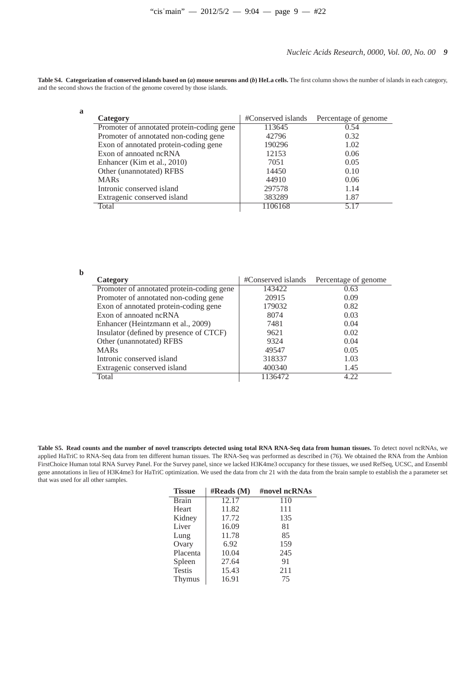**Table S4. Categorization of conserved islands based on (***a***) mouse neurons and (***b***) HeLa cells.** The first column shows the number of islands in each category, and the second shows the fraction of the genome covered by those islands.

| $\mathbf{a}$ |                                           |                    |                      |
|--------------|-------------------------------------------|--------------------|----------------------|
|              | Category                                  | #Conserved islands | Percentage of genome |
|              | Promoter of annotated protein-coding gene | 113645             | 0.54                 |
|              | Promoter of annotated non-coding gene     | 42796              | 0.32                 |
|              | Exon of annotated protein-coding gene     | 190296             | 1.02                 |
|              | Exon of annoated ncRNA                    | 12153              | 0.06                 |
|              | Enhancer (Kim et al., 2010)               | 7051               | 0.05                 |
|              | Other (unannotated) RFBS                  | 14450              | 0.10                 |
|              | <b>MARs</b>                               | 44910              | 0.06                 |
|              | Intronic conserved island                 | 297578             | 1.14                 |
|              | Extragenic conserved island               | 383289             | 1.87                 |
|              | Total                                     | 1106168            | 517                  |

| Category                                  | #Conserved islands | Percentage of genome |
|-------------------------------------------|--------------------|----------------------|
| Promoter of annotated protein-coding gene | 143422             | 0.63                 |
| Promoter of annotated non-coding gene     | 20915              | 0.09                 |
| Exon of annotated protein-coding gene     | 179032             | 0.82                 |
| Exon of annoated ncRNA                    | 8074               | 0.03                 |
| Enhancer (Heintzmann et al., 2009)        | 7481               | 0.04                 |
| Insulator (defined by presence of CTCF)   | 9621               | 0.02                 |
| Other (unannotated) RFBS                  | 9324               | 0.04                 |
| <b>MARs</b>                               | 49547              | 0.05                 |
| Intronic conserved island                 | 318337             | 1.03                 |
| Extragenic conserved island               | 400340             | 1.45                 |
| Total                                     | 1136472            | 4.22                 |

**b**

**Table S5. Read counts and the number of novel transcripts detected using total RNA RNA-Seq data from human tissues.** To detect novel ncRNAs, we applied HaTriC to RNA-Seq data from ten different human tissues. The RNA-Seq was performed as described in (76). We obtained the RNA from the Ambion FirstChoice Human total RNA Survey Panel. For the Survey panel, since we lacked H3K4me3 occupancy for these tissues, we used RefSeq, UCSC, and Ensembl gene annotations in lieu of H3K4me3 for HaTriC optimization. We used the data from chr 21 with the data from the brain sample to establish the a parameter set that was used for all other samples.

| <b>Tissue</b> | #Reads(M) | #novel ncRNAs |
|---------------|-----------|---------------|
| <b>Brain</b>  | 12.17     | 110           |
| Heart         | 11.82     | 111           |
| Kidney        | 17.72     | 135           |
| Liver         | 16.09     | 81            |
| Lung          | 11.78     | 85            |
| Ovary         | 6.92      | 159           |
| Placenta      | 10.04     | 245           |
| Spleen        | 27.64     | 91            |
| <b>Testis</b> | 15.43     | 211           |
| Thymus        | 16.91     | 75            |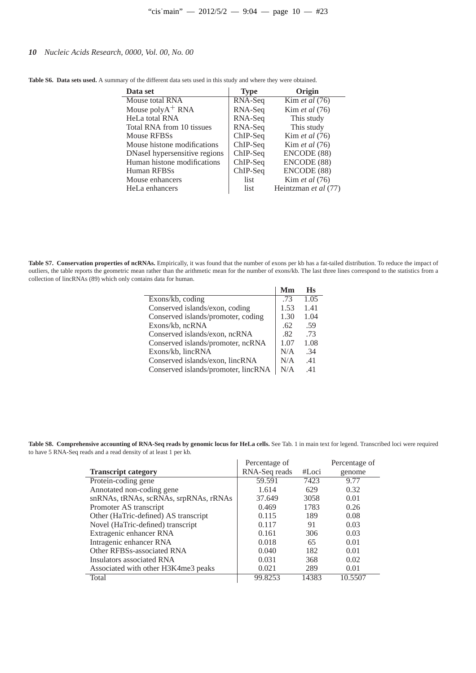| Data set                      | <b>Type</b> | Origin                |
|-------------------------------|-------------|-----------------------|
| Mouse total RNA               | RNA-Seq     | Kim <i>et al</i> (76) |
| Mouse $polyA^+$ RNA           | RNA-Seq     | Kim <i>et al</i> (76) |
| <b>HeLa</b> total RNA         | RNA-Seq     | This study            |
| Total RNA from 10 tissues     | RNA-Seq     | This study            |
| <b>Mouse RFBSs</b>            | ChIP-Seq    | Kim <i>et al</i> (76) |
| Mouse histone modifications   | ChIP-Seq    | Kim <i>et al</i> (76) |
| DNaseI hypersensitive regions | ChIP-Seq    | ENCODE (88)           |
| Human histone modifications   | ChIP-Seq    | ENCODE (88)           |
| <b>Human RFBSs</b>            | ChIP-Seq    | ENCODE (88)           |
| Mouse enhancers               | list        | Kim <i>et al</i> (76) |
| HeLa enhancers                | list        | Heintzman et al (77)  |

**Table S6. Data sets used.** A summary of the different data sets used in this study and where they were obtained.

 $\overline{a}$ 

Table S7. Conservation properties of ncRNAs. Empirically, it was found that the number of exons per kb has a fat-tailed distribution. To reduce the impact of outliers, the table reports the geometric mean rather than the arithmetic mean for the number of exons/kb. The last three lines correspond to the statistics from a collection of lincRNAs (89) which only contains data for human.

|                                     | Mm   | Hs   |  |
|-------------------------------------|------|------|--|
| Exons/kb, coding                    | .73  | 1.05 |  |
| Conserved islands/exon, coding      | 1.53 | 1.41 |  |
| Conserved islands/promoter, coding  | 1.30 | 1.04 |  |
| Exons/kb, ncRNA                     | .62  | .59  |  |
| Conserved islands/exon, ncRNA       | .82  | .73  |  |
| Conserved islands/promoter, ncRNA   | 1.07 | 1.08 |  |
| Exons/kb, lincRNA                   | N/A  | .34  |  |
| Conserved islands/exon, lincRNA     | N/A  | .41  |  |
| Conserved islands/promoter, lincRNA | N/A  | .41  |  |
|                                     |      |      |  |

**Table S8. Comprehensive accounting of RNA-Seq reads by genomic locus for HeLa cells.** See Tab. 1 in main text for legend. Transcribed loci were required to have 5 RNA-Seq reads and a read density of at least 1 per kb.

|                                       | Percentage of |       | Percentage of |
|---------------------------------------|---------------|-------|---------------|
| <b>Transcript category</b>            | RNA-Seq reads | #Loci | genome        |
| Protein-coding gene                   | 59.591        | 7423  | 9.77          |
| Annotated non-coding gene             | 1.614         | 629   | 0.32          |
| snRNAs, tRNAs, scRNAs, srpRNAs, rRNAs | 37.649        | 3058  | 0.01          |
| Promoter AS transcript                | 0.469         | 1783  | 0.26          |
| Other (HaTric-defined) AS transcript  | 0.115         | 189   | 0.08          |
| Novel (HaTric-defined) transcript     | 0.117         | 91    | 0.03          |
| Extragenic enhancer RNA               | 0.161         | 306   | 0.03          |
| Intragenic enhancer RNA               | 0.018         | 65    | 0.01          |
| Other RFBSs-associated RNA            | 0.040         | 182   | 0.01          |
| Insulators associated RNA             | 0.031         | 368   | 0.02          |
| Associated with other H3K4me3 peaks   | 0.021         | 289   | 0.01          |
| Total                                 | 99.8253       | 14383 | 10.5507       |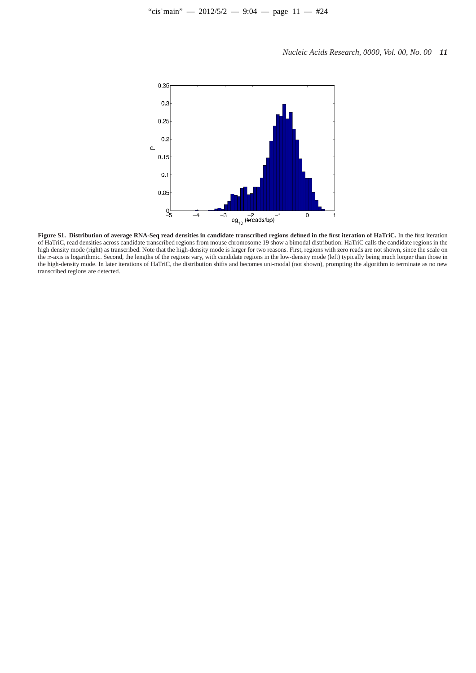

**Figure S1. Distribution of average RNA-Seq read densities in candidate transcribed regions defined in the first iteration of HaTriC.** In the first iteration of HaTriC, read densities across candidate transcribed regions from mouse chromosome 19 show a bimodal distribution: HaTriC calls the candidate regions in the high density mode (right) as transcribed. Note that the high-density mode is larger for two reasons. First, regions with zero reads are not shown, since the scale on the x-axis is logarithmic. Second, the lengths of the regions vary, with candidate regions in the low-density mode (left) typically being much longer than those in the high-density mode. In later iterations of HaTriC, the distribution shifts and becomes uni-modal (not shown), prompting the algorithm to terminate as no new transcribed regions are detected.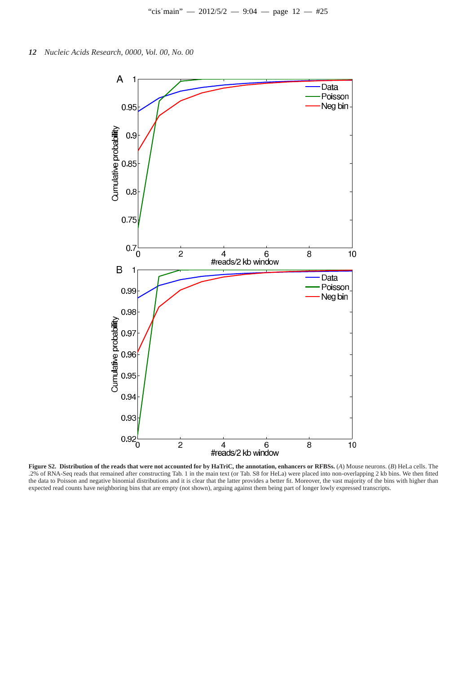

**Figure S2. Distribution of the reads that were not accounted for by HaTriC, the annotation, enhancers or RFBSs.** (*A*) Mouse neurons. (*B*) HeLa cells. The .2% of RNA-Seq reads that remained after constructing Tab. 1 in the main text (or Tab. S8 for HeLa) were placed into non-overlapping 2 kb bins. We then fitted the data to Poisson and negative binomial distributions and it is clear that the latter provides a better fit. Moreover, the vast majority of the bins with higher than expected read counts have neighboring bins that are empty (not shown), arguing against them being part of longer lowly expressed transcripts.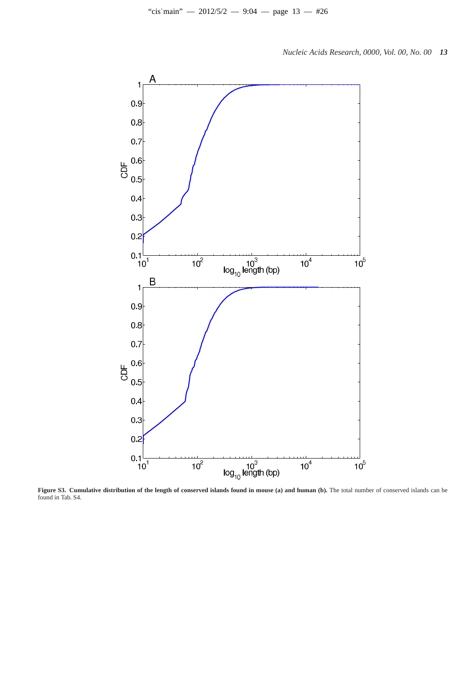

**Figure S3. Cumulative distribution of the length of conserved islands found in mouse (a) and human (b).** The total number of conserved islands can be found in Tab. S4.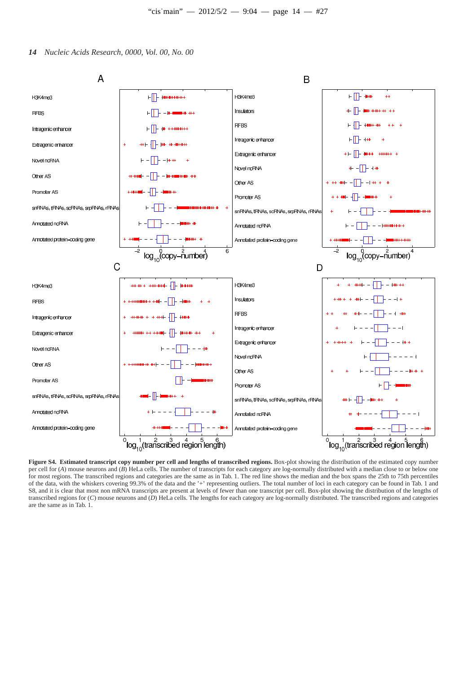*14 Nucleic Acids Research, 0000, Vol. 00, No. 00*



**Figure S4. Estimated transcript copy number per cell and lengths of transcribed regions.** Box-plot showing the distribution of the estimated copy number per cell for (*A*) mouse neurons and (*B*) HeLa cells. The number of transcripts for each category are log-normally distributed with a median close to or below one for most regions. The transcribed regions and categories are the same as in Tab. 1. The red line shows the median and the box spans the 25th to 75th percentiles of the data, with the whiskers covering 99.3% of the data and the '+' representing outliers. The total number of loci in each category can be found in Tab. 1 and S8, and it is clear that most non mRNA transcripts are present at levels of fewer than one transcript per cell. Box-plot showing the distribution of the lengths of transcribed regions for (*C*) mouse neurons and (*D*) HeLa cells. The lengths for each category are log-normally distributed. The transcribed regions and categories are the same as in Tab. 1.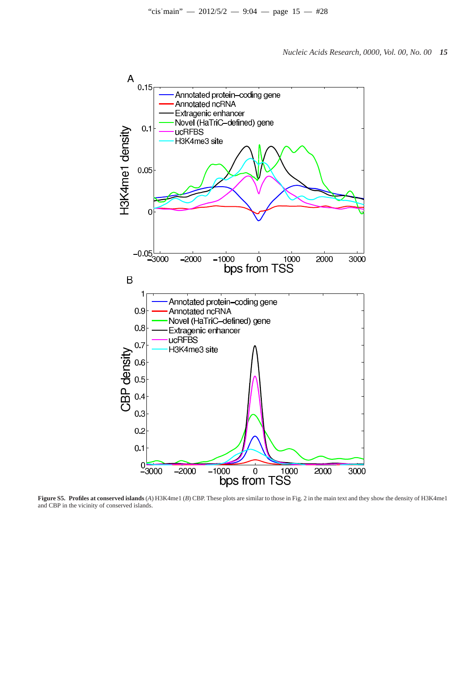

**Figure S5. Profiles at conserved islands** (*A*) H3K4me1 (*B*) CBP. These plots are similar to those in Fig. 2 in the main text and they show the density of H3K4me1 and CBP in the vicinity of conserved islands.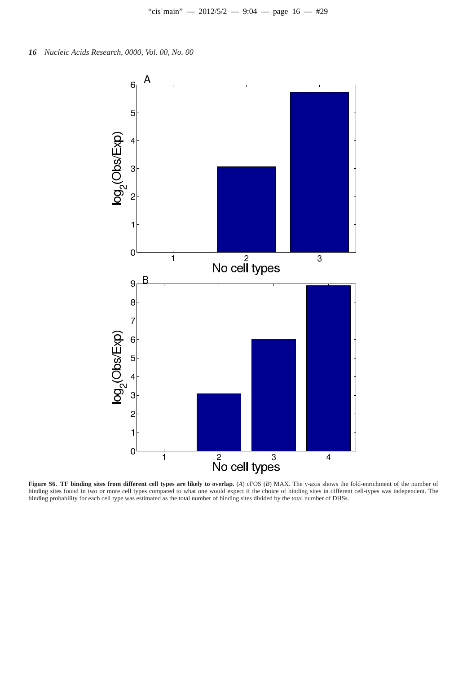

**Figure S6. TF binding sites from different cell types are likely to overlap.** (*A*) cFOS (*B*) MAX. The y-axis shows the fold-enrichment of the number of binding sites found in two or more cell types compared to what one would expect if the choice of binding sites in different cell-types was independent. The binding probability for each cell type was estimated as the total number of binding sites divided by the total number of DHSs.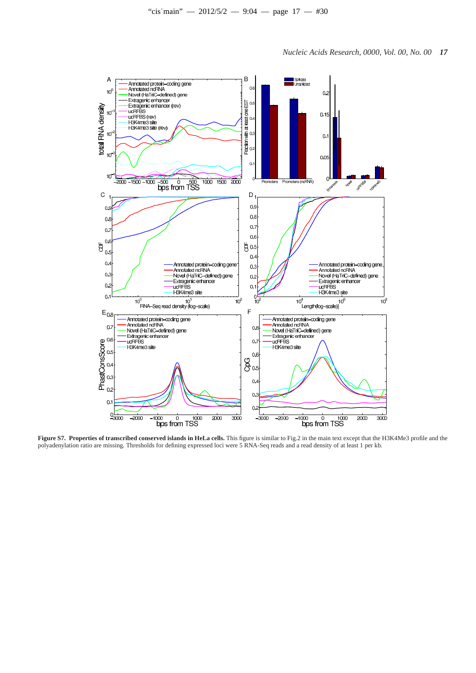

**Figure S7. Properties of transcribed conserved islands in HeLa cells.** This figure is similar to Fig.2 in the main text except that the H3K4Me3 profile and the polyadenylation ratio are missing. Thresholds for defining expressed loci were 5 RNA-Seq reads and a read density of at least 1 per kb.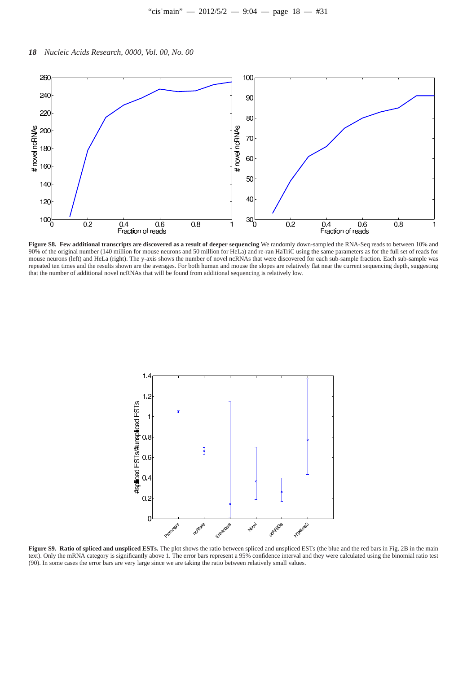

**Figure S8. Few additional transcripts are discovered as a result of deeper sequencing** We randomly down-sampled the RNA-Seq reads to between 10% and 90% of the original number (140 million for mouse neurons and 50 million for HeLa) and re-ran HaTriC using the same parameters as for the full set of reads for mouse neurons (left) and HeLa (right). The y-axis shows the number of novel ncRNAs that were discovered for each sub-sample fraction. Each sub-sample was repeated ten times and the results shown are the averages. For both human and mouse the slopes are relatively flat near the current sequencing depth, suggesting that the number of additional novel ncRNAs that will be found from additional sequencing is relatively low.



**Figure S9. Ratio of spliced and unspliced ESTs.** The plot shows the ratio between spliced and unspliced ESTs (the blue and the red bars in Fig. 2B in the main text). Only the mRNA category is significantly above 1. The error bars represent a 95% confidence interval and they were calculated using the binomial ratio test (90). In some cases the error bars are very large since we are taking the ratio between relatively small values.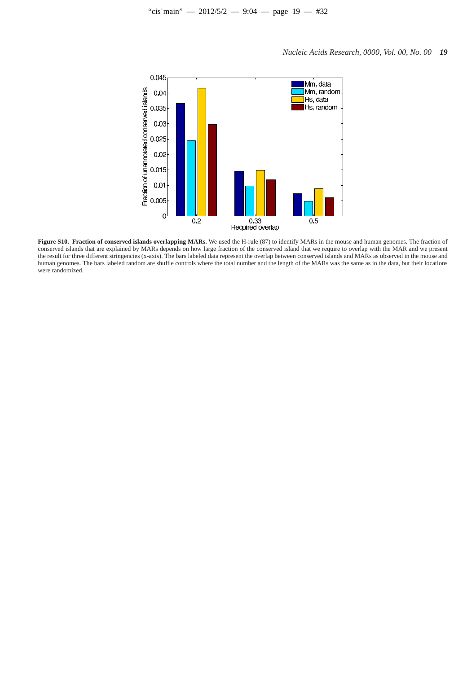

Figure S10. Fraction of conserved islands overlapping MARs. We used the H-rule (87) to identify MARs in the mouse and human genomes. The fraction of conserved islands that are explained by MARs depends on how large fraction of the conserved island that we require to overlap with the MAR and we present the result for three different stringencies (x-axis). The bars labeled data represent the overlap between conserved islands and MARs as observed in the mouse and human genomes. The bars labeled random are shuffle controls where the total number and the length of the MARs was the same as in the data, but their locations human genomes. The bars labeled random are shuffle controls whe were randomized.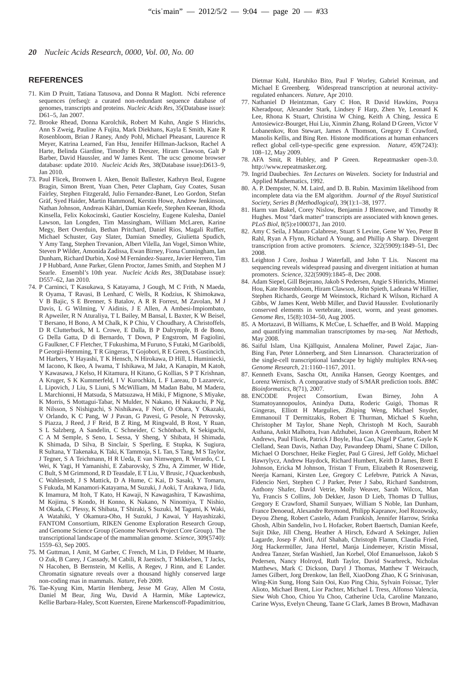#### **REFERENCES**

- 71. Kim D Pruitt, Tatiana Tatusova, and Donna R Maglott. Ncbi reference sequences (refseq): a curated non-redundant sequence database of genomes, transcripts and proteins. *Nucleic Acids Res*, 35(Database issue): D61–5, Jan 2007.
- 72. Brooke Rhead, Donna Karolchik, Robert M Kuhn, Angie S Hinrichs, Ann S Zweig, Pauline A Fujita, Mark Diekhans, Kayla E Smith, Kate R Rosenbloom, Brian J Raney, Andy Pohl, Michael Pheasant, Laurence R Meyer, Katrina Learned, Fan Hsu, Jennifer Hillman-Jackson, Rachel A Harte, Belinda Giardine, Timothy R Dreszer, Hiram Clawson, Galt P Barber, David Haussler, and W James Kent. The ucsc genome browser database: update 2010. *Nucleic Acids Res*, 38(Database issue):D613–9, Jan 2010.
- 73. Paul Flicek, Bronwen L Aken, Benoit Ballester, Kathryn Beal, Eugene Bragin, Simon Brent, Yuan Chen, Peter Clapham, Guy Coates, Susan Fairley, Stephen Fitzgerald, Julio Fernandez-Banet, Leo Gordon, Stefan Gräf, Syed Haider, Martin Hammond, Kerstin Howe, Andrew Jenkinson, Nathan Johnson, Andreas Kähäri, Damian Keefe, Stephen Keenan, Rhoda Kinsella, Felix Kokocinski, Gautier Koscielny, Eugene Kulesha, Daniel Lawson, Ian Longden, Tim Massingham, William McLaren, Karine Megy, Bert Overduin, Bethan Pritchard, Daniel Rios, Magali Ruffier, Michael Schuster, Guy Slater, Damian Smedley, Giulietta Spudich, Y Amy Tang, Stephen Trevanion, Albert Vilella, Jan Vogel, Simon White, Steven P Wilder, Amonida Zadissa, Ewan Birney, Fiona Cunningham, Ian Dunham, Richard Durbin, Xosé M Fernández-Suarez, Javier Herrero, Tim J P Hubbard, Anne Parker, Glenn Proctor, James Smith, and Stephen M J Searle. Ensembl's 10th year. *Nucleic Acids Res*, 38(Database issue): D557–62, Jan 2010.
- 74. P Carninci, T Kasukawa, S Katayama, J Gough, M C Frith, N Maeda, R Oyama, T Ravasi, B Lenhard, C Wells, R Kodzius, K Shimokawa, V B Bajic, S E Brenner, S Batalov, A R R Forrest, M Zavolan, M J Davis, L G Wilming, V Aidinis, J E Allen, A Ambesi-Impiombato, R Apweiler, R N Aturaliya, T L Bailey, M Bansal, L Baxter, K W Beisel, T Bersano, H Bono, A M Chalk, K P Chiu, V Choudhary, A Christoffels, D R Clutterbuck, M L Crowe, E Dalla, B P Dalrymple, B de Bono, G Della Gatta, D di Bernardo, T Down, P Engstrom, M Fagiolini, G Faulkner, C F Fletcher, T Fukushima, M Furuno, S Futaki, M Gariboldi, P Georgii-Hemming, T R Gingeras, T Gojobori, R E Green, S Gustincich, M Harbers, Y Hayashi, T K Hensch, N Hirokawa, D Hill, L Huminiecki, M Iacono, K Ikeo, A Iwama, T Ishikawa, M Jakt, A Kanapin, M Katoh, Y Kawasawa, J Kelso, H Kitamura, H Kitano, G Kollias, S P T Krishnan, A Kruger, S K Kummerfeld, I V Kurochkin, L F Lareau, D Lazarevic, L Lipovich, J Liu, S Liuni, S McWilliam, M Madan Babu, M Madera, L Marchionni, H Matsuda, S Matsuzawa, H Miki, F Mignone, S Miyake, K Morris, S Mottagui-Tabar, N Mulder, N Nakano, H Nakauchi, P Ng, R Nilsson, S Nishiguchi, S Nishikawa, F Nori, O Ohara, Y Okazaki, V Orlando, K C Pang, W J Pavan, G Pavesi, G Pesole, N Petrovsky, S Piazza, J Reed, J F Reid, B Z Ring, M Ringwald, B Rost, Y Ruan, S L Salzberg, A Sandelin, C Schneider, C Schönbach, K Sekiguchi, C A M Semple, S Seno, L Sessa, Y Sheng, Y Shibata, H Shimada, K Shimada, D Silva, B Sinclair, S Sperling, E Stupka, K Sugiura, R Sultana, Y Takenaka, K Taki, K Tammoja, S L Tan, S Tang, M S Taylor, J Tegner, S A Teichmann, H R Ueda, E van Nimwegen, R Verardo, C L Wei, K Yagi, H Yamanishi, E Zabarovsky, S Zhu, A Zimmer, W Hide, C Bult, S M Grimmond, R D Teasdale, E T Liu, V Brusic, J Quackenbush, C Wahlestedt, J S Mattick, D A Hume, C Kai, D Sasaki, Y Tomaru, S Fukuda, M Kanamori-Katayama, M Suzuki, J Aoki, T Arakawa, J Iida, K Imamura, M Itoh, T Kato, H Kawaji, N Kawagashira, T Kawashima, M Kojima, S Kondo, H Konno, K Nakano, N Ninomiya, T Nishio, M Okada, C Plessy, K Shibata, T Shiraki, S Suzuki, M Tagami, K Waki, A Watahiki, Y Okamura-Oho, H Suzuki, J Kawai, Y Hayashizaki, FANTOM Consortium, RIKEN Genome Exploration Research Group, and Genome Science Group (Genome Network Project Core Group). The transcriptional landscape of the mammalian genome. *Science*, 309(5740): 1559–63, Sep 2005.
- 75. M Guttman, I Amit, M Garber, C French, M Lin, D Feldser, M Huarte, O Zuk, B Carey, J Cassady, M Cabili, R Jaenisch, T Mikkelsen, T Jacks, N Hacohen, B Bernstein, M Kellis, A Regev, J Rinn, and E Lander. Chromatin signature reveals over a thousand highly conserved large non-coding rnas in mammals. *Nature*, Feb 2009.
- 76. Tae-Kyung Kim, Martin Hemberg, Jesse M Gray, Allen M Costa, Daniel M Bear, Jing Wu, David A Harmin, Mike Laptewicz, Kellie Barbara-Haley, Scott Kuersten, Eirene Markenscoff-Papadimitriou,

Dietmar Kuhl, Haruhiko Bito, Paul F Worley, Gabriel Kreiman, and Michael E Greenberg. Widespread transcription at neuronal activityregulated enhancers. *Nature*, Apr 2010.

- 77. Nathaniel D Heintzman, Gary C Hon, R David Hawkins, Pouya Kheradpour, Alexander Stark, Lindsey F Harp, Zhen Ye, Leonard K Lee, Rhona K Stuart, Christina W Ching, Keith A Ching, Jessica E Antosiewicz-Bourget, Hui Liu, Xinmin Zhang, Roland D Green, Victor V Lobanenkov, Ron Stewart, James A Thomson, Gregory E Crawford, Manolis Kellis, and Bing Ren. Histone modifications at human enhancers reflect global cell-type-specific gene expression. *Nature*, 459(7243): 108–12, May 2009.
- 78. AFA Smit, R Hubley, and P Green. Repeatmasker open-3.0. http://www.repeatmasker.org.
- 79. Ingrid Daubechies. *Ten Lectures on Wavelets*. Society for Industrial and Applied Mathematics, 1992.
- 80. A. P. Dempster, N. M. Laird, and D. B. Rubin. Maximim likelihood from incomplete data via the EM algorithm. *Journal of the Royal Statistical Society, Series B (Methodlogical)*, 39(1):1–38, 1977.
- 81. Harm van Bakel, Corey Nislow, Benjamin J Blencowe, and Timothy R Hughes. Most "dark matter" transcripts are associated with known genes. *PLoS Biol*, 8(5):e1000371, Jan 2010.
- 82. Amy C Seila, J Mauro Calabrese, Stuart S Levine, Gene W Yeo, Peter B Rahl, Ryan A Flynn, Richard A Young, and Phillip A Sharp. Divergent transcription from active promoters. *Science*, 322(5909):1849–51, Dec 2008.
- 83. Leighton J Core, Joshua J Waterfall, and John T Lis. Nascent rna sequencing reveals widespread pausing and divergent initiation at human promoters. *Science*, 322(5909):1845–8, Dec 2008.
- 84. Adam Siepel, Gill Bejerano, Jakob S Pedersen, Angie S Hinrichs, Minmei Hou, Kate Rosenbloom, Hiram Clawson, John Spieth, Ladeana W Hillier, Stephen Richards, George M Weinstock, Richard K Wilson, Richard A Gibbs, W James Kent, Webb Miller, and David Haussler. Evolutionarily conserved elements in vertebrate, insect, worm, and yeast genomes. *Genome Res*, 15(8):1034–50, Aug 2005.
- 85. A Mortazavi, B Williams, K McCue, L Schaeffer, and B Wold. Mapping and quantifying mammalian transcriptomes by rna-seq. *Nat Methods*, May 2008.
- 86. Saiful Islam, Una Kjällquist, Annalena Moliner, Pawel Zajac, Jian-Bing Fan, Peter Lönnerberg, and Sten Linnarsson. Characterization of the single-cell transcriptional landscape by highly multiplex RNA-seq. *Genome Research*, 21:1160–1167, 2011.
- 87. Kenneth Evans, Sascha Ott, Annika Hansen, Georgy Koentges, and Lorenz Wernisch. A comparative study of S/MAR prediction tools. *BMC Bioinformatics*, 8(71), 2007.
- 88. ENCODE Project Consortium, Ewan Birney, John Stamatoyannopoulos, Anindya Dutta, Roderic Guigo, Thomas R ´ Gingeras, Elliott H Margulies, Zhiping Weng, Michael Snyder, Emmanouil T Dermitzakis, Robert E Thurman, Michael S Kuehn, Christopher M Taylor, Shane Neph, Christoph M Koch, Saurabh Asthana, Ankit Malhotra, Ivan Adzhubei, Jason A Greenbaum, Robert M Andrews, Paul Flicek, Patrick J Boyle, Hua Cao, Nigel P Carter, Gayle K Clelland, Sean Davis, Nathan Day, Pawandeep Dhami, Shane C Dillon, Michael O Dorschner, Heike Fiegler, Paul G Giresi, Jeff Goldy, Michael Hawrylycz, Andrew Haydock, Richard Humbert, Keith D James, Brett E Johnson, Ericka M Johnson, Tristan T Frum, Elizabeth R Rosenzweig, Neerja Karnani, Kirsten Lee, Gregory C Lefebvre, Patrick A Navas, Fidencio Neri, Stephen C J Parker, Peter J Sabo, Richard Sandstrom, Anthony Shafer, David Vetrie, Molly Weaver, Sarah Wilcox, Man Yu, Francis S Collins, Job Dekker, Jason D Lieb, Thomas D Tullius, Gregory E Crawford, Shamil Sunyaev, William S Noble, Ian Dunham, France Denoeud, Alexandre Reymond, Philipp Kapranov, Joel Rozowsky, Deyou Zheng, Robert Castelo, Adam Frankish, Jennifer Harrow, Srinka Ghosh, Albin Sandelin, Ivo L Hofacker, Robert Baertsch, Damian Keefe, Sujit Dike, Jill Cheng, Heather A Hirsch, Edward A Sekinger, Julien Lagarde, Josep F Abril, Atif Shahab, Christoph Flamm, Claudia Fried, Jörg Hackermüller, Jana Hertel, Manja Lindemeyer, Kristin Missal, Andrea Tanzer, Stefan Washietl, Jan Korbel, Olof Emanuelsson, Jakob S Pedersen, Nancy Holroyd, Ruth Taylor, David Swarbreck, Nicholas Matthews, Mark C Dickson, Daryl J Thomas, Matthew T Weirauch, James Gilbert, Jorg Drenkow, Ian Bell, XiaoDong Zhao, K G Srinivasan, Wing-Kin Sung, Hong Sain Ooi, Kuo Ping Chiu, Sylvain Foissac, Tyler Alioto, Michael Brent, Lior Pachter, Michael L Tress, Alfonso Valencia, Siew Woh Choo, Chiou Yu Choo, Catherine Ucla, Caroline Manzano, Carine Wyss, Evelyn Cheung, Taane G Clark, James B Brown, Madhavan